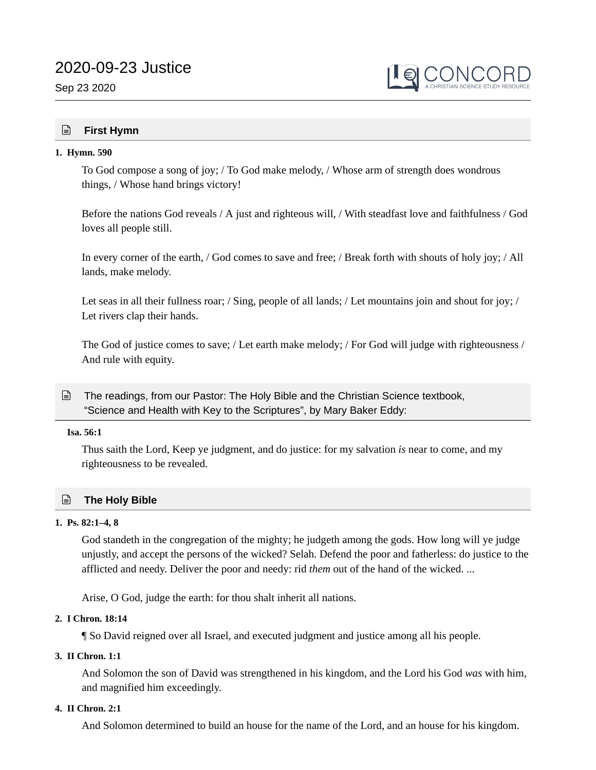# 2020-09-23 Justice

Sep 23 2020



# **First Hymn**

#### **1. Hymn. 590**

To God compose a song of joy; / To God make melody, / Whose arm of strength does wondrous things, / Whose hand brings victory!

Before the nations God reveals / A just and righteous will, / With steadfast love and faithfulness / God loves all people still.

In every corner of the earth, / God comes to save and free; / Break forth with shouts of holy joy; / All lands, make melody.

Let seas in all their fullness roar; / Sing, people of all lands; / Let mountains join and shout for joy; / Let rivers clap their hands.

The God of justice comes to save; / Let earth make melody; / For God will judge with righteousness / And rule with equity.

The readings, from our Pastor: The Holy Bible and the Christian Science textbook, "Science and Health with Key to the Scriptures", by Mary Baker Eddy:  $\mathbf{r}$ 

#### **Isa. 56:1**

Thus saith the Lord, Keep ye judgment, and do justice: for my salvation *is* near to come, and my righteousness to be revealed.

## **The Holy Bible**

#### **1. Ps. 82:1–4, 8**

God standeth in the congregation of the mighty; he judgeth among the gods. How long will ye judge unjustly, and accept the persons of the wicked? Selah. Defend the poor and fatherless: do justice to the afflicted and needy. Deliver the poor and needy: rid *them* out of the hand of the wicked. ...

Arise, O God, judge the earth: for thou shalt inherit all nations.

## **2. I Chron. 18:14**

¶ So David reigned over all Israel, and executed judgment and justice among all his people.

# **3. II Chron. 1:1**

And Solomon the son of David was strengthened in his kingdom, and the Lord his God *was* with him, and magnified him exceedingly.

#### **4. II Chron. 2:1**

And Solomon determined to build an house for the name of the Lord, and an house for his kingdom.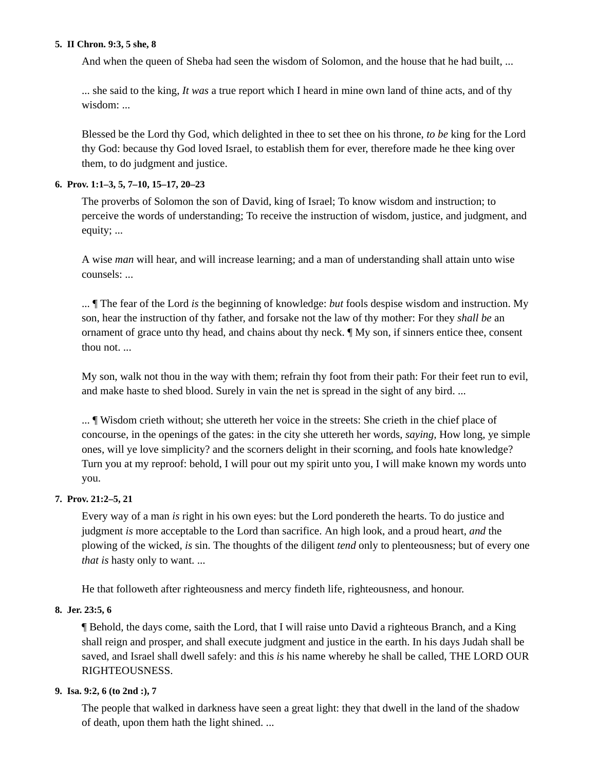#### **5. II Chron. 9:3, 5 she, 8**

And when the queen of Sheba had seen the wisdom of Solomon, and the house that he had built, ...

... she said to the king, *It was* a true report which I heard in mine own land of thine acts, and of thy wisdom: ...

Blessed be the Lord thy God, which delighted in thee to set thee on his throne, *to be* king for the Lord thy God: because thy God loved Israel, to establish them for ever, therefore made he thee king over them, to do judgment and justice.

## **6. Prov. 1:1–3, 5, 7–10, 15–17, 20–23**

The proverbs of Solomon the son of David, king of Israel; To know wisdom and instruction; to perceive the words of understanding; To receive the instruction of wisdom, justice, and judgment, and equity; ...

A wise *man* will hear, and will increase learning; and a man of understanding shall attain unto wise counsels: ...

... ¶ The fear of the Lord *is* the beginning of knowledge: *but* fools despise wisdom and instruction. My son, hear the instruction of thy father, and forsake not the law of thy mother: For they *shall be* an ornament of grace unto thy head, and chains about thy neck. ¶ My son, if sinners entice thee, consent thou not. ...

My son, walk not thou in the way with them; refrain thy foot from their path: For their feet run to evil, and make haste to shed blood. Surely in vain the net is spread in the sight of any bird. ...

... ¶ Wisdom crieth without; she uttereth her voice in the streets: She crieth in the chief place of concourse, in the openings of the gates: in the city she uttereth her words, *saying,* How long, ye simple ones, will ye love simplicity? and the scorners delight in their scorning, and fools hate knowledge? Turn you at my reproof: behold, I will pour out my spirit unto you, I will make known my words unto you.

## **7. Prov. 21:2–5, 21**

Every way of a man *is* right in his own eyes: but the Lord pondereth the hearts. To do justice and judgment *is* more acceptable to the Lord than sacrifice. An high look, and a proud heart, *and* the plowing of the wicked, *is* sin. The thoughts of the diligent *tend* only to plenteousness; but of every one *that is* hasty only to want. ...

He that followeth after righteousness and mercy findeth life, righteousness, and honour.

# **8. Jer. 23:5, 6**

¶ Behold, the days come, saith the Lord, that I will raise unto David a righteous Branch, and a King shall reign and prosper, and shall execute judgment and justice in the earth. In his days Judah shall be saved, and Israel shall dwell safely: and this *is* his name whereby he shall be called, THE LORD OUR RIGHTEOUSNESS.

# **9. Isa. 9:2, 6 (to 2nd :), 7**

The people that walked in darkness have seen a great light: they that dwell in the land of the shadow of death, upon them hath the light shined. ...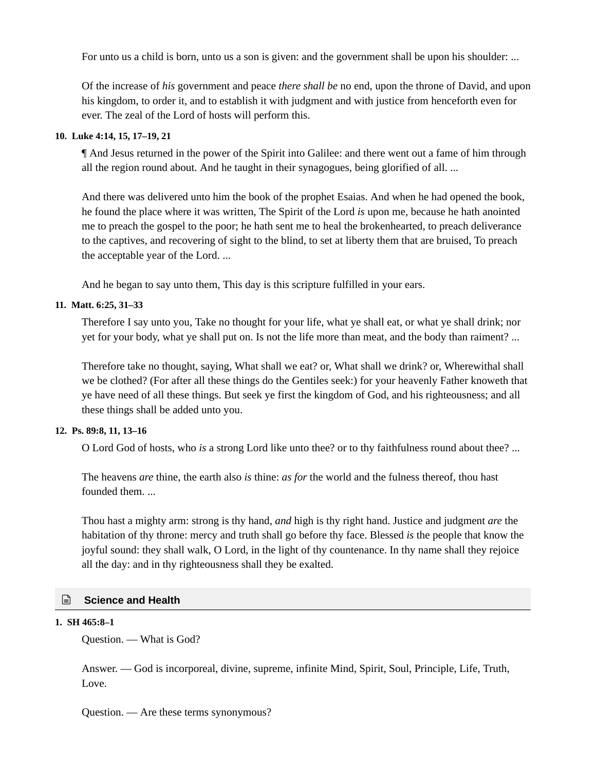For unto us a child is born, unto us a son is given: and the government shall be upon his shoulder: ...

Of the increase of *his* government and peace *there shall be* no end, upon the throne of David, and upon his kingdom, to order it, and to establish it with judgment and with justice from henceforth even for ever. The zeal of the Lord of hosts will perform this.

#### **10. Luke 4:14, 15, 17–19, 21**

¶ And Jesus returned in the power of the Spirit into Galilee: and there went out a fame of him through all the region round about. And he taught in their synagogues, being glorified of all. ...

And there was delivered unto him the book of the prophet Esaias. And when he had opened the book, he found the place where it was written, The Spirit of the Lord *is* upon me, because he hath anointed me to preach the gospel to the poor; he hath sent me to heal the brokenhearted, to preach deliverance to the captives, and recovering of sight to the blind, to set at liberty them that are bruised, To preach the acceptable year of the Lord. ...

And he began to say unto them, This day is this scripture fulfilled in your ears.

## **11. Matt. 6:25, 31–33**

Therefore I say unto you, Take no thought for your life, what ye shall eat, or what ye shall drink; nor yet for your body, what ye shall put on. Is not the life more than meat, and the body than raiment? ...

Therefore take no thought, saying, What shall we eat? or, What shall we drink? or, Wherewithal shall we be clothed? (For after all these things do the Gentiles seek:) for your heavenly Father knoweth that ye have need of all these things. But seek ye first the kingdom of God, and his righteousness; and all these things shall be added unto you.

## **12. Ps. 89:8, 11, 13–16**

O Lord God of hosts, who *is* a strong Lord like unto thee? or to thy faithfulness round about thee? ...

The heavens *are* thine, the earth also *is* thine: *as for* the world and the fulness thereof, thou hast founded them. ...

Thou hast a mighty arm: strong is thy hand, *and* high is thy right hand. Justice and judgment *are* the habitation of thy throne: mercy and truth shall go before thy face. Blessed *is* the people that know the joyful sound: they shall walk, O Lord, in the light of thy countenance. In thy name shall they rejoice all the day: and in thy righteousness shall they be exalted.

## **Science and Health**

## **1. SH 465:8–1**

Question. — What is God?

Answer. — God is incorporeal, divine, supreme, infinite Mind, Spirit, Soul, Principle, Life, Truth, Love.

Question. — Are these terms synonymous?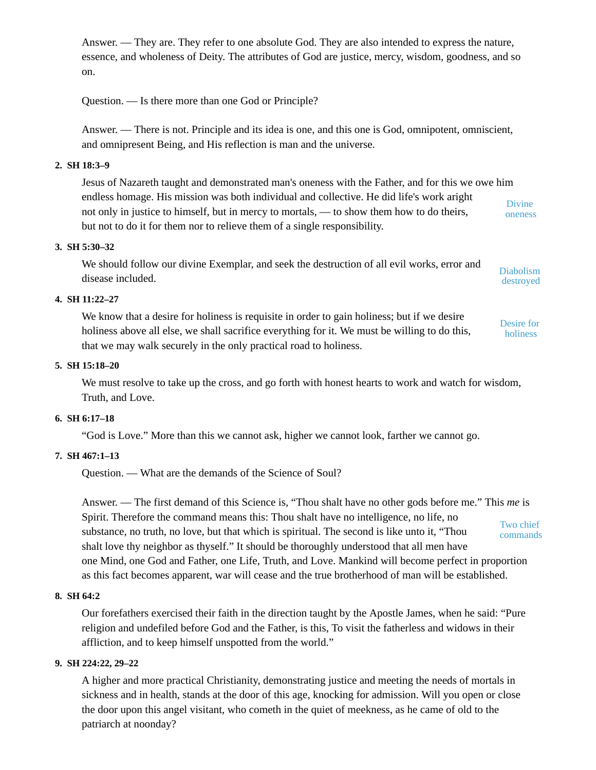Answer. — They are. They refer to one absolute God. They are also intended to express the nature, essence, and wholeness of Deity. The attributes of God are justice, mercy, wisdom, goodness, and so on.

Question. — Is there more than one God or Principle?

Answer. — There is not. Principle and its idea is one, and this one is God, omnipotent, omniscient, and omnipresent Being, and His reflection is man and the universe.

#### **2. SH 18:3–9**

Jesus of Nazareth taught and demonstrated man's oneness with the Father, and for this we owe him endless homage. His mission was both individual and collective. He did life's work aright not only in justice to himself, but in mercy to mortals, — to show them how to do theirs, but not to do it for them nor to relieve them of a single responsibility. Divine oneness

#### **3. SH 5:30–32**

We should follow our divine Exemplar, and seek the destruction of all evil works, error and disease included. Diabolism destroyed

## **4. SH 11:22–27**

We know that a desire for holiness is requisite in order to gain holiness; but if we desire holiness above all else, we shall sacrifice everything for it. We must be willing to do this, that we may walk securely in the only practical road to holiness. Desire for holiness

#### **5. SH 15:18–20**

We must resolve to take up the cross, and go forth with honest hearts to work and watch for wisdom, Truth, and Love.

## **6. SH 6:17–18**

"God is Love." More than this we cannot ask, higher we cannot look, farther we cannot go.

## **7. SH 467:1–13**

Question. — What are the demands of the Science of Soul?

Answer. — The first demand of this Science is, "Thou shalt have no other gods before me." This *me* is Spirit. Therefore the command means this: Thou shalt have no intelligence, no life, no substance, no truth, no love, but that which is spiritual. The second is like unto it, "Thou shalt love thy neighbor as thyself." It should be thoroughly understood that all men have one Mind, one God and Father, one Life, Truth, and Love. Mankind will become perfect in proportion as this fact becomes apparent, war will cease and the true brotherhood of man will be established. Two chief commands

#### **8. SH 64:2**

Our forefathers exercised their faith in the direction taught by the Apostle James, when he said: "Pure religion and undefiled before God and the Father, is this, To visit the fatherless and widows in their affliction, and to keep himself unspotted from the world."

#### **9. SH 224:22, 29–22**

A higher and more practical Christianity, demonstrating justice and meeting the needs of mortals in sickness and in health, stands at the door of this age, knocking for admission. Will you open or close the door upon this angel visitant, who cometh in the quiet of meekness, as he came of old to the patriarch at noonday?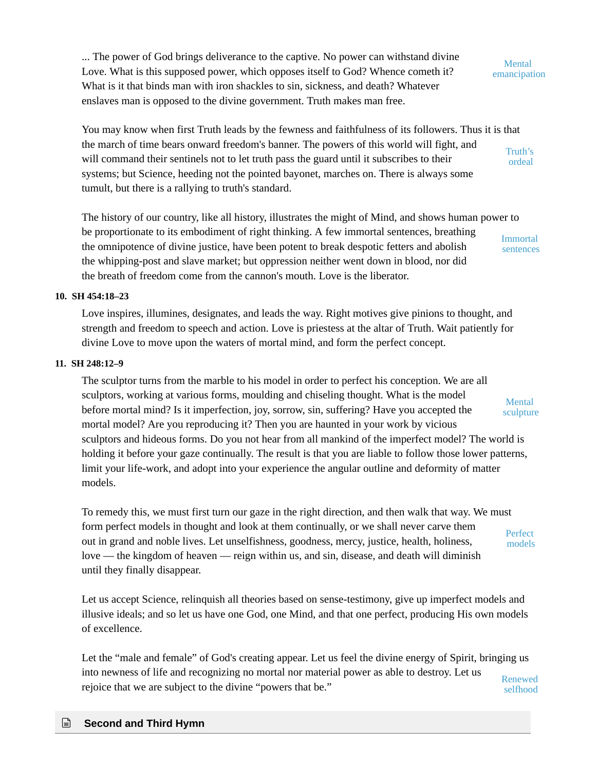... The power of God brings deliverance to the captive. No power can withstand divine Love. What is this supposed power, which opposes itself to God? Whence cometh it? What is it that binds man with iron shackles to sin, sickness, and death? Whatever enslaves man is opposed to the divine government. Truth makes man free.

**Mental** emancipation

You may know when first Truth leads by the fewness and faithfulness of its followers. Thus it is that the march of time bears onward freedom's banner. The powers of this world will fight, and will command their sentinels not to let truth pass the guard until it subscribes to their systems; but Science, heeding not the pointed bayonet, marches on. There is always some tumult, but there is a rallying to truth's standard. Truth's ordeal

The history of our country, like all history, illustrates the might of Mind, and shows human power to be proportionate to its embodiment of right thinking. A few immortal sentences, breathing the omnipotence of divine justice, have been potent to break despotic fetters and abolish the whipping-post and slave market; but oppression neither went down in blood, nor did the breath of freedom come from the cannon's mouth. Love is the liberator. Immortal sentences

#### **10. SH 454:18–23**

Love inspires, illumines, designates, and leads the way. Right motives give pinions to thought, and strength and freedom to speech and action. Love is priestess at the altar of Truth. Wait patiently for divine Love to move upon the waters of mortal mind, and form the perfect concept.

#### **11. SH 248:12–9**

The sculptor turns from the marble to his model in order to perfect his conception. We are all sculptors, working at various forms, moulding and chiseling thought. What is the model before mortal mind? Is it imperfection, joy, sorrow, sin, suffering? Have you accepted the mortal model? Are you reproducing it? Then you are haunted in your work by vicious sculptors and hideous forms. Do you not hear from all mankind of the imperfect model? The world is holding it before your gaze continually. The result is that you are liable to follow those lower patterns, limit your life-work, and adopt into your experience the angular outline and deformity of matter models. Mental sculpture

To remedy this, we must first turn our gaze in the right direction, and then walk that way. We must form perfect models in thought and look at them continually, or we shall never carve them out in grand and noble lives. Let unselfishness, goodness, mercy, justice, health, holiness, love — the kingdom of heaven — reign within us, and sin, disease, and death will diminish until they finally disappear. **Perfect** models

Let us accept Science, relinquish all theories based on sense-testimony, give up imperfect models and illusive ideals; and so let us have one God, one Mind, and that one perfect, producing His own models of excellence.

Let the "male and female" of God's creating appear. Let us feel the divine energy of Spirit, bringing us into newness of life and recognizing no mortal nor material power as able to destroy. Let us rejoice that we are subject to the divine "powers that be." Renewed selfhood